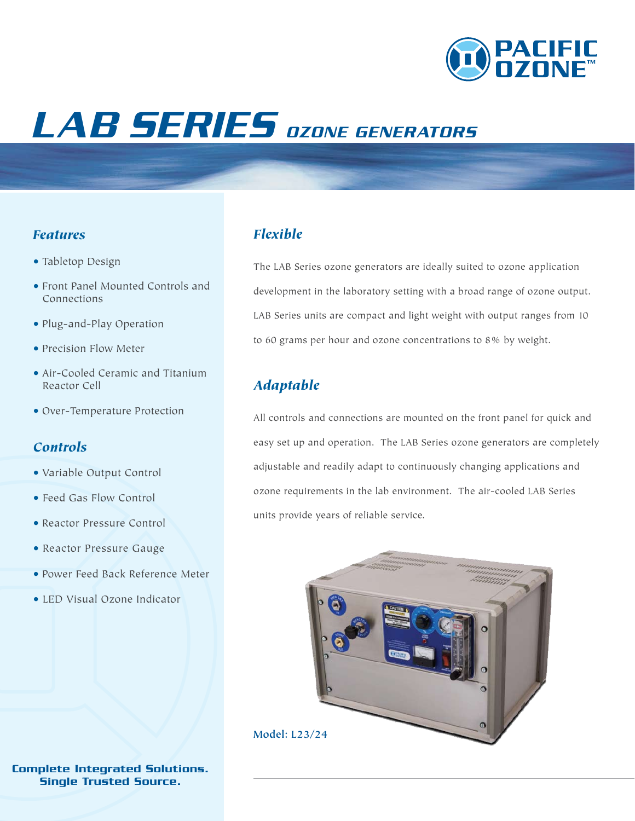

# LAB SERIES OZONE GENERATORS

#### *Features*

- Tabletop Design
- Front Panel Mounted Controls and Connections
- Plug-and-Play Operation
- Precision Flow Meter
- Air-Cooled Ceramic and Titanium Reactor Cell
- Over-Temperature Protection

#### *Controls*

- Variable Output Control
- Feed Gas Flow Control
- Reactor Pressure Control
- Reactor Pressure Gauge
- Power Feed Back Reference Meter
- LED Visual Ozone Indicator

#### *Flexible*

The LAB Series ozone generators are ideally suited to ozone application development in the laboratory setting with a broad range of ozone output. LAB Series units are compact and light weight with output ranges from 10 to 60 grams per hour and ozone concentrations to 8% by weight.

#### *Adaptable*

All controls and connections are mounted on the front panel for quick and easy set up and operation. The LAB Series ozone generators are completely adjustable and readily adapt to continuously changing applications and ozone requirements in the lab environment. The air-cooled LAB Series units provide years of reliable service.



Complete Integrated Solutions. Single Trusted Source.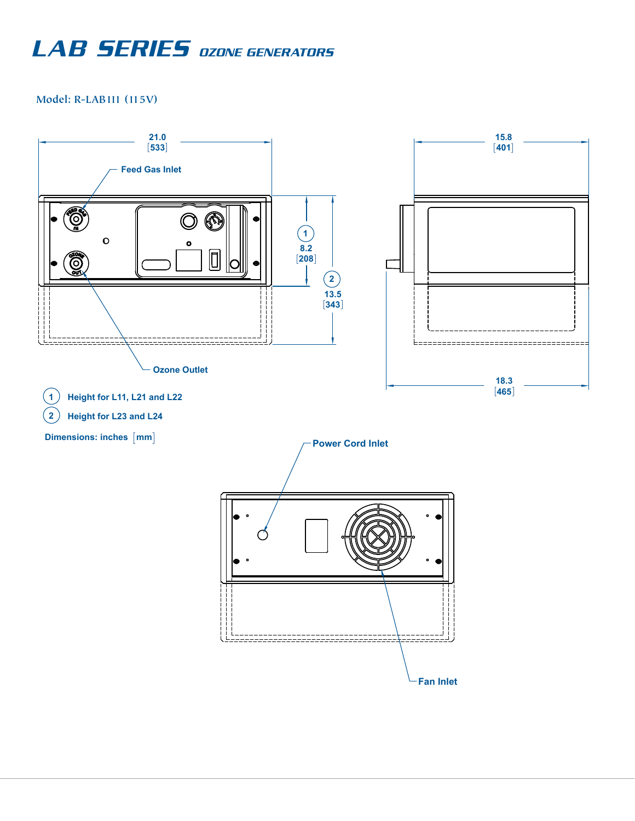### LAB **SERIES** OZONE GENERATORS

**Model: R-LAB111 (115V)**

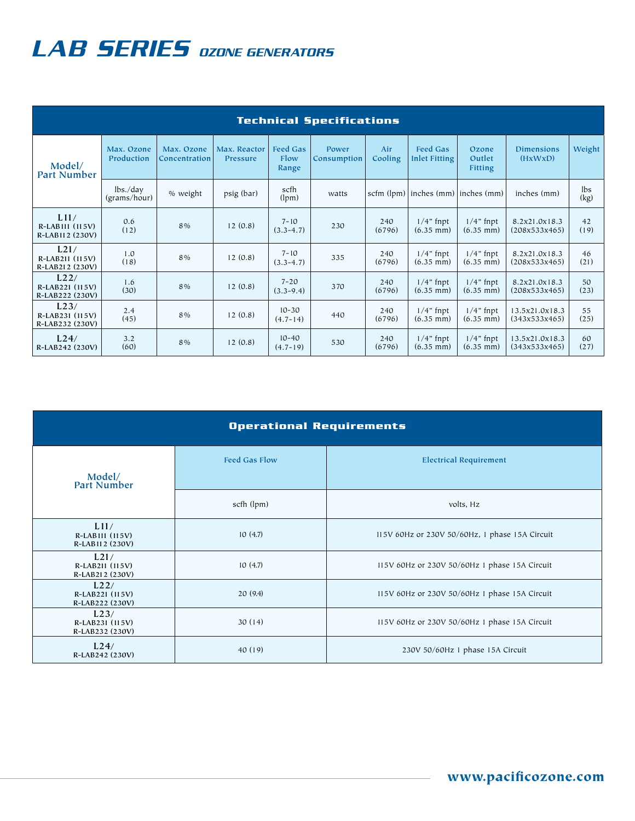## LAB **SERIES** OZONE GENERATORS

| <b>Technical Specifications</b>              |                          |                             |                                 |                                  |                             |                |                                         |                             |                                 |             |
|----------------------------------------------|--------------------------|-----------------------------|---------------------------------|----------------------------------|-----------------------------|----------------|-----------------------------------------|-----------------------------|---------------------------------|-------------|
| Model/<br>Part Number                        | Max. Ozone<br>Production | Max. Ozone<br>Concentration | Max. Reactor<br><b>Pressure</b> | <b>Feed Gas</b><br>Flow<br>Range | Power<br><b>Consumption</b> | Air<br>Cooling | <b>Feed Gas</b><br><b>Inlet Fitting</b> | Ozone<br>Outlet<br>Fitting  | <b>Dimensions</b><br>(HxWxD)    | Weight      |
|                                              | lbs./day<br>(grams/hour) | % weight                    | psig (bar)                      | scfh<br>(lpm)                    | watts                       |                | scfm (lpm) inches (mm) inches (mm)      |                             | inches (mm)                     | lbs<br>(kg) |
| L11/<br>$R-LABIII$ (115V)<br>R-LAB112 (230V) | 0.6<br>(12)              | 8%                          | 12(0.8)                         | $7 - 10$<br>$(3.3 - 4.7)$        | 230                         | 240<br>(6796)  | $1/4$ " fnpt<br>$(6.35$ mm)             | $1/4$ " fnpt<br>$(6.35$ mm) | 8.2x21.0x18.3<br>(208x533x465)  | 42<br>(19)  |
| L21/<br>R-LAB211 (115V)<br>R-LAB212 (230V)   | 1.0<br>(18)              | 8%                          | 12(0.8)                         | $7 - 10$<br>$(3.3 - 4.7)$        | 335                         | 240<br>(6796)  | $1/4$ " fnpt<br>$(6.35$ mm)             | $1/4$ " fnpt<br>$(6.35$ mm) | 8.2x21.0x18.3<br>(208x533x465)  | 46<br>(21)  |
| L22/<br>R-LAB221 (115V)<br>R-LAB222 (230V)   | 1.6<br>(30)              | 8%                          | 12(0.8)                         | $7 - 20$<br>$(3.3 - 9.4)$        | 370                         | 240<br>(6796)  | $1/4$ " fnpt<br>$(6.35 \text{ mm})$     | $1/4$ " fnpt<br>$(6.35$ mm) | 8.2x21.0x18.3<br>(208x533x465)  | 50<br>(23)  |
| L23/<br>R-LAB231 (115V)<br>R-LAB232 (230V)   | 2.4<br>(45)              | 8%                          | 12(0.8)                         | $10 - 30$<br>$(4.7 - 14)$        | 440                         | 240<br>(6796)  | $1/4$ " fnpt<br>$(6.35$ mm)             | $1/4"$ fnpt<br>$(6.35$ mm)  | 13.5x21.0x18.3<br>(343x533x465) | 55<br>(25)  |
| L24/<br>R-LAB242 (230V)                      | 3.2<br>(60)              | 8%                          | 12(0.8)                         | $10 - 40$<br>$(4.7 - 19)$        | 530                         | 240<br>(6796)  | $1/4$ " fnpt<br>$(6.35$ mm)             | $1/4"$ fnpt<br>$(6.35$ mm)  | 13.5x21.0x18.3<br>(343x533x465) | 60<br>(27)  |

| <b>Operational Requirements</b>              |                      |                                                |  |  |  |  |  |  |
|----------------------------------------------|----------------------|------------------------------------------------|--|--|--|--|--|--|
| Model/<br><b>Part Number</b>                 | <b>Feed Gas Flow</b> | <b>Electrical Requirement</b>                  |  |  |  |  |  |  |
|                                              | scfh (lpm)           | volts, Hz                                      |  |  |  |  |  |  |
| L11/<br>$R-LABIII$ (115V)<br>R-LAB112 (230V) | 10(4.7)              | 115V 60Hz or 230V 50/60Hz, 1 phase 15A Circuit |  |  |  |  |  |  |
| L21/<br>R-LAB211 (115V)<br>R-LAB212 (230V)   | 10(4.7)              | 115V 60Hz or 230V 50/60Hz 1 phase 15A Circuit  |  |  |  |  |  |  |
| L22/<br>R-LAB221 (115V)<br>R-LAB222 (230V)   | 20(9.4)              | 115V 60Hz or 230V 50/60Hz 1 phase 15A Circuit  |  |  |  |  |  |  |
| L23/<br>R-LAB231 (115V)<br>R-LAB232 (230V)   | 30(14)               | 115V 60Hz or 230V 50/60Hz 1 phase 15A Circuit  |  |  |  |  |  |  |
| L24/<br>R-LAB242 (230V)                      | 40(19)               | 230V 50/60Hz 1 phase 15A Circuit               |  |  |  |  |  |  |